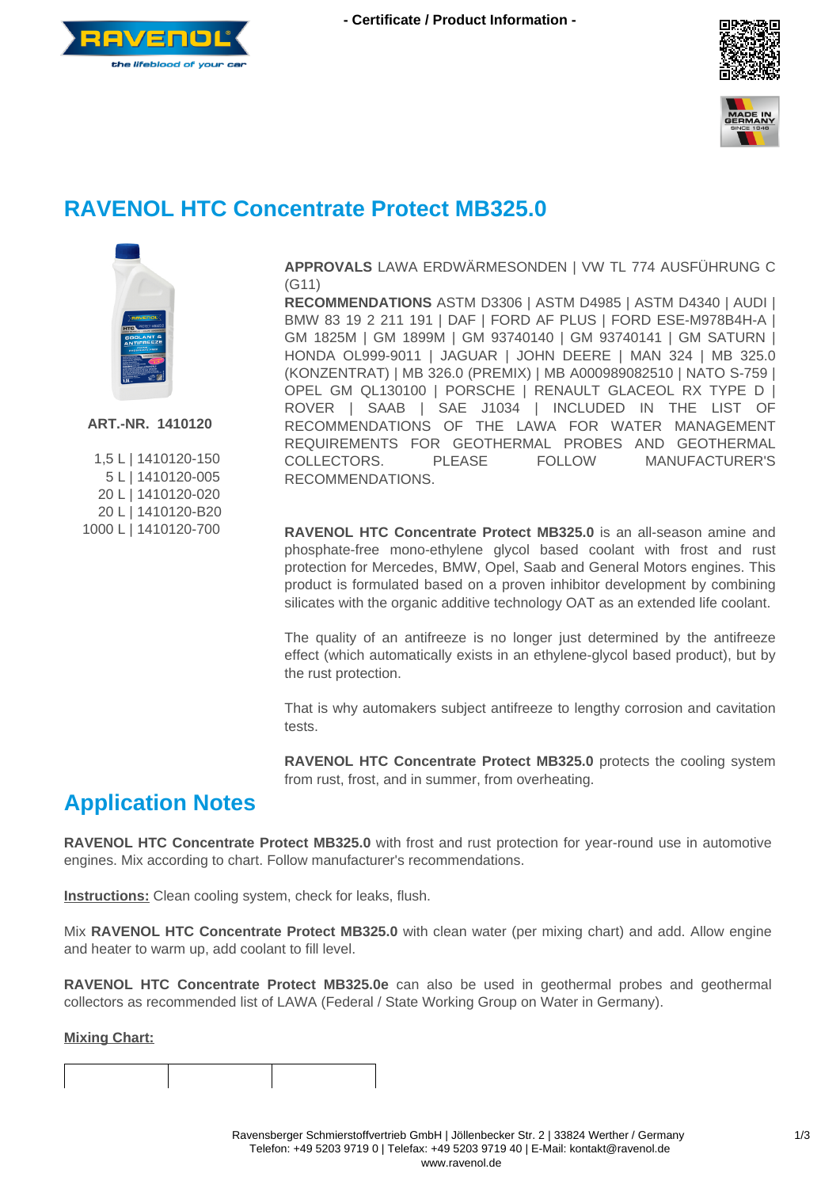





# **RAVENOL HTC Concentrate Protect MB325.0**



**ART.-NR. 1410120**

|  | 1,5L   1410120-150   |
|--|----------------------|
|  | 5L   1410120-005     |
|  | 20L   1410120-020    |
|  | 20 L   1410120-B20   |
|  | 1000 L   1410120-700 |

**APPROVALS** LAWA ERDWÄRMESONDEN | VW TL 774 AUSFÜHRUNG C (G11)

**RECOMMENDATIONS** ASTM D3306 | ASTM D4985 | ASTM D4340 | AUDI | BMW 83 19 2 211 191 | DAF | FORD AF PLUS | FORD ESE-M978B4H-A | GM 1825M | GM 1899M | GM 93740140 | GM 93740141 | GM SATURN | HONDA OL999-9011 | JAGUAR | JOHN DEERE | MAN 324 | MB 325.0 (KONZENTRAT) | MB 326.0 (PREMIX) | MB A000989082510 | NATO S-759 | OPEL GM QL130100 | PORSCHE | RENAULT GLACEOL RX TYPE D | ROVER | SAAB | SAE J1034 | INCLUDED IN THE LIST OF RECOMMENDATIONS OF THE LAWA FOR WATER MANAGEMENT REQUIREMENTS FOR GEOTHERMAL PROBES AND GEOTHERMAL COLLECTORS. PLEASE FOLLOW MANUFACTURER'S RECOMMENDATIONS.

**RAVENOL HTC Concentrate Protect MB325.0** is an all-season amine and phosphate-free mono-ethylene glycol based coolant with frost and rust protection for Mercedes, BMW, Opel, Saab and General Motors engines. This product is formulated based on a proven inhibitor development by combining silicates with the organic additive technology OAT as an extended life coolant.

The quality of an antifreeze is no longer just determined by the antifreeze effect (which automatically exists in an ethylene-glycol based product), but by the rust protection.

That is why automakers subject antifreeze to lengthy corrosion and cavitation tests.

**RAVENOL HTC Concentrate Protect MB325.0** protects the cooling system from rust, frost, and in summer, from overheating.

### **Application Notes**

**RAVENOL HTC Concentrate Protect MB325.0** with frost and rust protection for year-round use in automotive engines. Mix according to chart. Follow manufacturer's recommendations.

**Instructions:** Clean cooling system, check for leaks, flush.

Mix **RAVENOL HTC Concentrate Protect MB325.0** with clean water (per mixing chart) and add. Allow engine and heater to warm up, add coolant to fill level.

**RAVENOL HTC Concentrate Protect MB325.0e** can also be used in geothermal probes and geothermal collectors as recommended list of LAWA (Federal / State Working Group on Water in Germany).

#### **Mixing Chart:**

 $\mathsf{I}$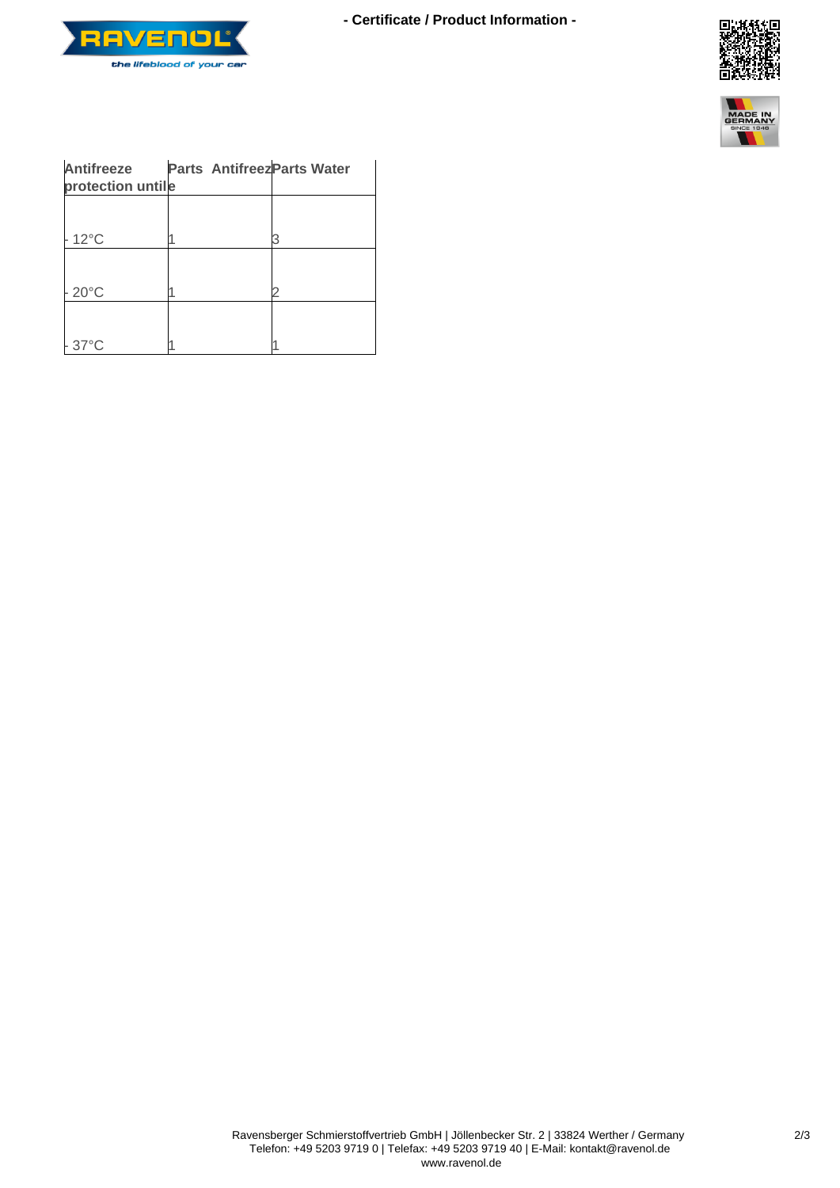

**- Certificate / Product Information -**





| Antifreeze<br>protection untile | <b>Parts Antifreez Parts Water</b> |  |
|---------------------------------|------------------------------------|--|
|                                 |                                    |  |
| $12^{\circ}$ C                  |                                    |  |
|                                 |                                    |  |
| $20^{\circ}$ C                  |                                    |  |
|                                 |                                    |  |
| $37^{\circ}$ C                  |                                    |  |